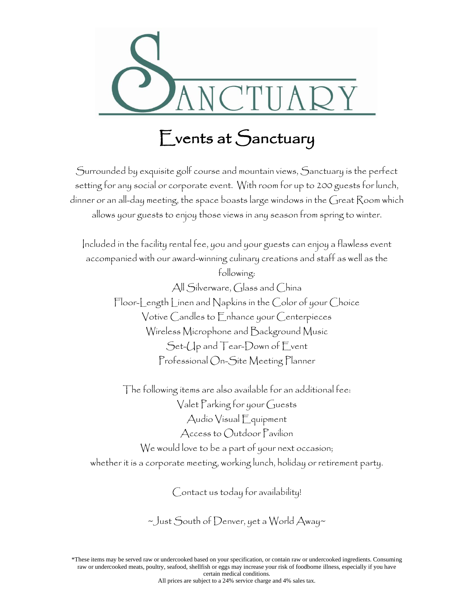

# Events at Sanctuary

Surrounded by exquisite golf course and mountain views, Sanctuary is the perfect setting for any social or corporate event. With room for up to 200 guests for lunch, dinner or an all-day meeting, the space boasts large windows in the Great Room which allows your guests to enjoy those views in any season from spring to winter.

Included in the facility rental fee, you and your guests can enjoy a flawless event accompanied with our award-winning culinary creations and staff as well as the following: All Silverware, Glass and China Floor-Length Linen and Napkins in the Color of your Choice Votive Candles to Enhance your Centerpieces Wireless Microphone and Background Music Set-Up and Tear-Down of Event Professional On-Site Meeting Planner

The following items are also available for an additional fee: Valet Parking for your Guests Audio Visual Equipment Access to Outdoor Pavilion We would love to be a part of your next occasion; whether it is a corporate meeting, working lunch, holiday or retirement party.

Contact us today for availability!

~Just South of Denver, yet a World Away~

\*These items may be served raw or undercooked based on your specification, or contain raw or undercooked ingredients. Consuming raw or undercooked meats, poultry, seafood, shellfish or eggs may increase your risk of foodborne illness, especially if you have certain medical conditions.

All prices are subject to a 24% service charge and 4% sales tax.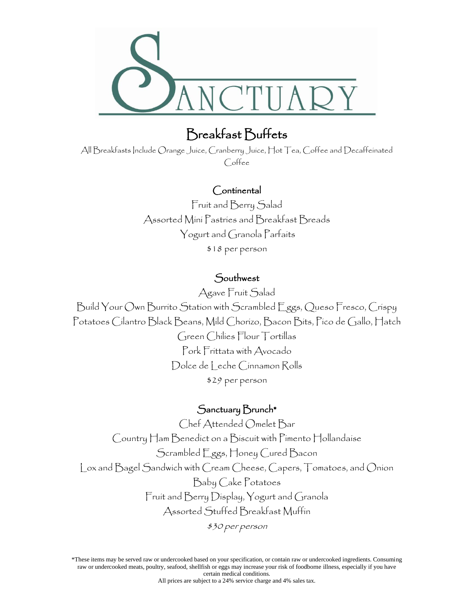

# Breakfast Buffets

All Breakfasts Include Orange Juice, Cranberry Juice, Hot Tea, Coffee and Decaffeinated Coffee

### Continental

Fruit and Berry Salad Assorted Mini Pastries and Breakfast Breads Yogurt and Granola Parfaits \$18 per person

### Southwest

Agave Fruit Salad

Build Your Own Burrito Station with Scrambled Eggs, Queso Fresco, Crispy Potatoes Cilantro Black Beans, Mild Chorizo, Bacon Bits, Pico de Gallo, Hatch Green Chilies Flour Tortillas Pork Frittata with Avocado Dolce de Leche Cinnamon Rolls \$29 per person

### Sanctuary Brunch\*

Chef Attended Omelet Bar Country Ham Benedict on a Biscuit with Pimento Hollandaise Scrambled Eggs, Honey Cured Bacon Lox and Bagel Sandwich with Cream Cheese, Capers, Tomatoes, and Onion Baby Cake Potatoes Fruit and Berry Display, Yogurt and Granola Assorted Stuffed Breakfast Muffin \$30 per person

\*These items may be served raw or undercooked based on your specification, or contain raw or undercooked ingredients. Consuming raw or undercooked meats, poultry, seafood, shellfish or eggs may increase your risk of foodborne illness, especially if you have certain medical conditions.

All prices are subject to a 24% service charge and 4% sales tax.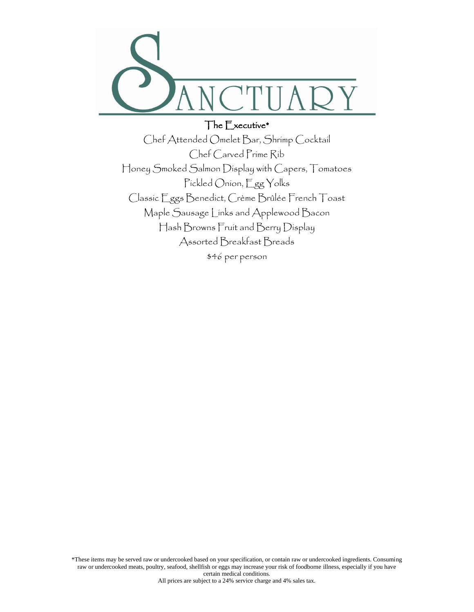

### The Executive\*

Chef Attended Omelet Bar, Shrimp Cocktail Chef Carved Prime Rib Honey Smoked Salmon Display with Capers, Tomatoes Pickled Onion, Egg Yolks Classic Eggs Benedict, Crème Brûlée French Toast Maple Sausage Links and Applewood Bacon Hash Browns Fruit and Berry Display Assorted Breakfast Breads \$46 per person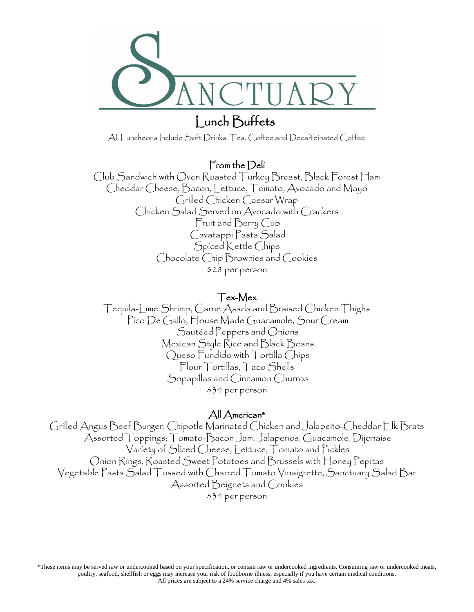

# Lunch Buffets

All Luncheons Include Soft Drinks, Tea, Coffee and Decaffeinated Coffee

### From the Deli

Club Sandwich with Oven Roasted Turkey Breast, Black Forest Ham Cheddar Cheese, Bacon, Lettuce, Tomato, Avocado and Mayo Grilled Chicken Caesar Wrap Chicken Salad Served on Avocado with Crackers Fruit and Berry Cup Cavatappi Pasta Salad Spiced Kettle Chips Chocolate Chip Brownies and Cookies \$28 per person

#### Tex-Mex

Tequila-Lime Shrimp, Carne Asada and Braised Chicken Thighs Pico De Gallo, House Made Guacamole, Sour Cream Sautéed Peppers and Onions Mexican Style Rice and Black Beans Queso Fundido with Tortilla Chips Flour Tortillas, Taco Shells Sopapillas and Cinnamon Churros \$34 per person

### All American\*

Grilled Angus Beef Burger, Chipotle Marinated Chicken and Jalapeño-Cheddar Elk Brats Assorted Toppings; Tomato-Bacon Jam, Jalapenos, Guacamole, Dijonaise Variety of Sliced Cheese, Lettuce, Tomato and Pickles Onion Rings, Roasted Sweet Potatoes and Brussels with Honey Pepitas Vegetable Pasta Salad Tossed with Charred Tomato Vinaigrette, Sanctuary Salad Bar Assorted Beignets and Cookies \$34 per person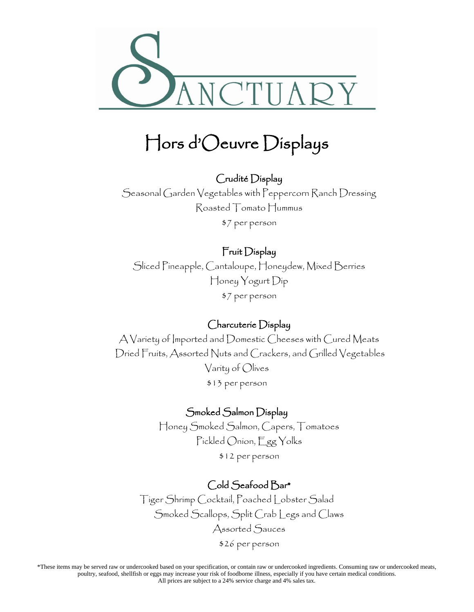

# Hors d'Oeuvre Displays

# Crudité Display Seasonal Garden Vegetables with Peppercorn Ranch Dressing Roasted Tomato Hummus

\$7 per person

# Fruit Display

Sliced Pineapple, Cantaloupe, Honeydew, Mixed Berries Honey Yogurt Dip \$7 per person

## Charcuterie Display

A Variety of Imported and Domestic Cheeses with Cured Meats Dried Fruits, Assorted Nuts and Crackers, and Grilled Vegetables Varity of Olives \$13 per person

## Smoked Salmon Display

Honey Smoked Salmon, Capers, Tomatoes Pickled Onion, Egg Yolks \$12 per person

## Cold Seafood Bar\*

Tiger Shrimp Cocktail, Poached Lobster Salad Smoked Scallops, Split Crab Legs and Claws Assorted Sauces \$26 per person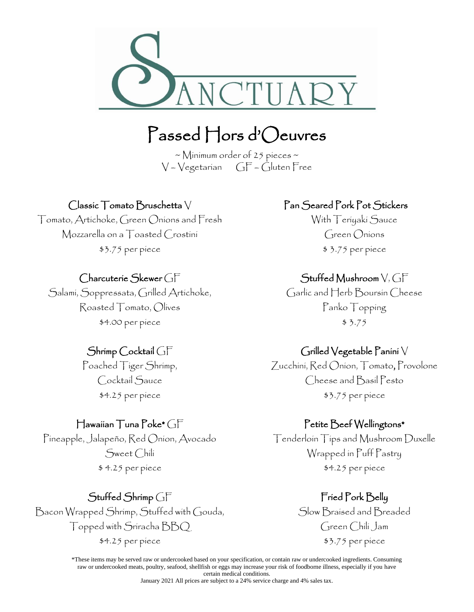

# Passed Hors d'Oeuvres

 $\sim$  Minimum order of 25 pieces  $\sim$  $V - Vegetarian$   $GF - Gluten Free$ 

### Classic Tomato Bruschetta V

Tomato, Artichoke, Green Onions and Fresh Mozzarella on a Toasted Crostini \$3.75 per piece

### Charcuterie Skewer GF

Salami, Soppressata, Grilled Artichoke, Roasted Tomato, Olives \$4.00 per piece

### Shrimp Cocktail GF

Poached Tiger Shrimp, Cocktail Sauce \$4.25 per piece

#### Hawaiian Tuna Poke\* GF

Pineapple, Jalapeño, Red Onion, Avocado Sweet Chili \$ 4.25 per piece

## Stuffed Shrimp GF

Bacon Wrapped Shrimp, Stuffed with Gouda, Topped with Sriracha BBQ \$4.25 per piece

## Pan Seared Pork Pot Stickers

With Teriyaki Sauce Green Onions \$ 3.75 per piece

## Stuffed Mushroom V, GF

Garlic and Herb Boursin Cheese Panko Topping \$ 3.75

### Grilled Vegetable Panini V

Zucchini, Red Onion, Tomato, Provolone Cheese and Basil Pesto \$3.75 per piece

### Petite Beef Wellingtons\*

Tenderloin Tips and Mushroom Duxelle Wrapped in Puff Pastry \$4.25 per piece

### Fried Pork Belly

Slow Braised and Breaded Green Chili Jam \$3.75 per piece

\*These items may be served raw or undercooked based on your specification, or contain raw or undercooked ingredients. Consuming raw or undercooked meats, poultry, seafood, shellfish or eggs may increase your risk of foodborne illness, especially if you have certain medical conditions.

January 2021 All prices are subject to a 24% service charge and 4% sales tax.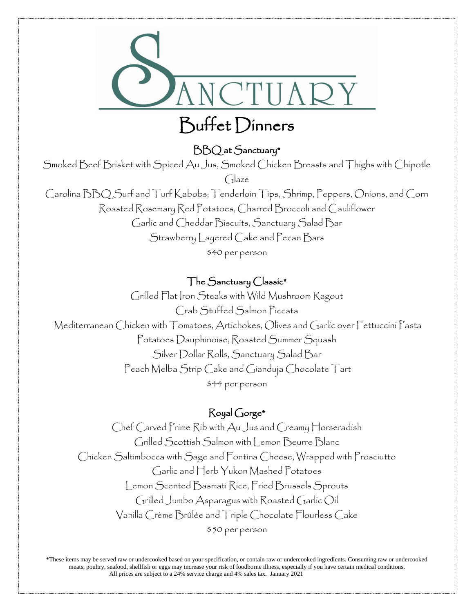

# BBQ at Sanctuary\*

Smoked Beef Brisket with Spiced Au Jus, Smoked Chicken Breasts and Thighs with Chipotle

Glaze

Carolina BBQ Surf and Turf Kabobs; Tenderloin Tips, Shrimp, Peppers, Onions, and Corn Roasted Rosemary Red Potatoes, Charred Broccoli and Cauliflower Garlic and Cheddar Biscuits, Sanctuary Salad Bar Strawberry Layered Cake and Pecan Bars \$40 per person

## The Sanctuary Classic\*

Grilled Flat Iron Steaks with Wild Mushroom Ragout Crab Stuffed Salmon Piccata Mediterranean Chicken with Tomatoes, Artichokes, Olives and Garlic over Fettuccini Pasta Potatoes Dauphinoise, Roasted Summer Squash Silver Dollar Rolls, Sanctuary Salad Bar Peach Melba Strip Cake and Gianduja Chocolate Tart \$44 per person

### Royal Gorge\*

Chef Carved Prime Rib with Au Jus and Creamy Horseradish Grilled Scottish Salmon with Lemon Beurre Blanc Chicken Saltimbocca with Sage and Fontina Cheese, Wrapped with Prosciutto Garlic and Herb Yukon Mashed Potatoes Lemon Scented Basmati Rice, Fried Brussels Sprouts Grilled Jumbo Asparagus with Roasted Garlic Oil Vanilla Crème Brûlée and Triple Chocolate Flourless Cake \$50 per person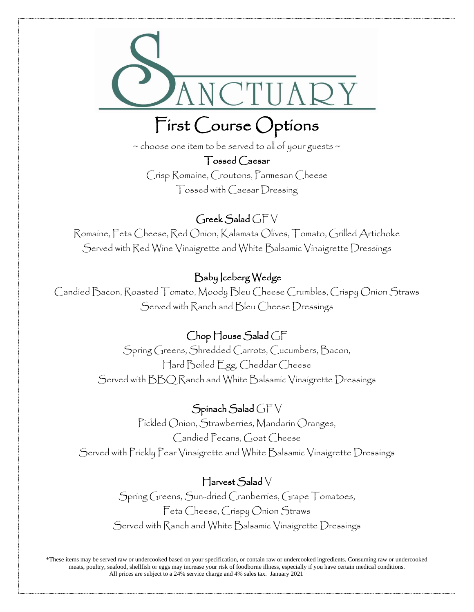

# First Course Options

 $\sim$  choose one item to be served to all of your guests  $\sim$ 

Tossed Caesar Crisp Romaine, Croutons, Parmesan Cheese Tossed with Caesar Dressing

 $G$ reek Salad  $GFV$ Romaine, Feta Cheese, Red Onion, Kalamata Olives, Tomato, Grilled Artichoke Served with Red Wine Vinaigrette and White Balsamic Vinaigrette Dressings

# Baby Iceberg Wedge

Candied Bacon, Roasted Tomato, Moody Bleu Cheese Crumbles, Crispy Onion Straws Served with Ranch and Bleu Cheese Dressings

# Chop House Salad GF

Spring Greens, Shredded Carrots, Cucumbers, Bacon, Hard Boiled Egg, Cheddar Cheese Served with BBQ Ranch and White Balsamic Vinaigrette Dressings

Spinach Salad GF V Pickled Onion, Strawberries, Mandarin Oranges, Candied Pecans, Goat Cheese Served with Prickly Pear Vinaigrette and White Balsamic Vinaigrette Dressings

# Harvest Salad V

Spring Greens, Sun-dried Cranberries, Grape Tomatoes, Feta Cheese, Crispy Onion Straws Served with Ranch and White Balsamic Vinaigrette Dressings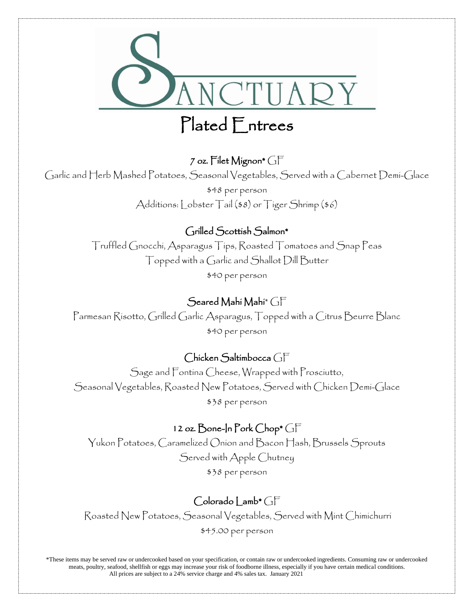

## 7 oz. Filet Mignon\* GF

Garlic and Herb Mashed Potatoes, Seasonal Vegetables, Served with a Cabernet Demi-Glace

\$48 per person Additions: Lobster Tail (\$8) or Tiger Shrimp (\$6)

### Grilled Scottish Salmon\*

Truffled Gnocchi, Asparagus Tips, Roasted Tomatoes and Snap Peas Topped with a Garlic and Shallot Dill Butter \$40 per person

### Seared Mahi Mahi $^*$   $\bigcap$   $\Box$

Parmesan Risotto, Grilled Garlic Asparagus, Topped with a Citrus Beurre Blanc \$40 per person

### Chicken Saltimbocca GF

Sage and Fontina Cheese, Wrapped with Prosciutto, Seasonal Vegetables, Roasted New Potatoes, Served with Chicken Demi-Glace \$38 per person

### 12 oz. Bone-In Pork Chop\* GF

Yukon Potatoes, Caramelized Onion and Bacon Hash, Brussels Sprouts Served with Apple Chutney \$38 per person

## $Colorado | amb* C<sub>1</sub>F$

Roasted New Potatoes, Seasonal Vegetables, Served with Mint Chimichurri \$45.00 per person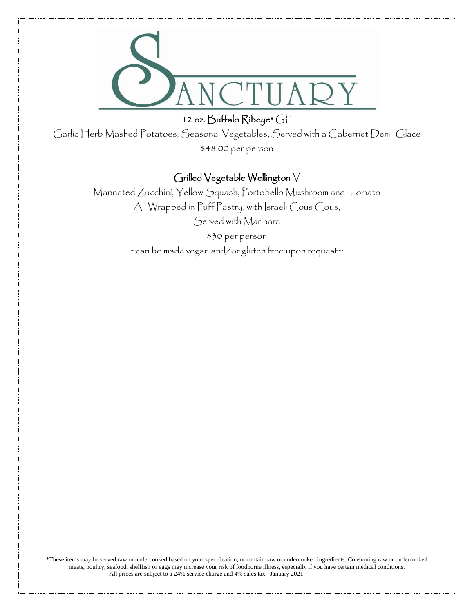

12 oz. Buffalo Ribeye\* GF

Garlic Herb Mashed Potatoes, Seasonal Vegetables, Served with a Cabernet Demi-Glace \$48.00 per person

## Grilled Vegetable Wellington V

Marinated Zucchini, Yellow Squash, Portobello Mushroom and Tomato All Wrapped in Puff Pastry, with Israeli Cous Cous, Served with Marinara

\$30 per person

~can be made vegan and/or gluten free upon request~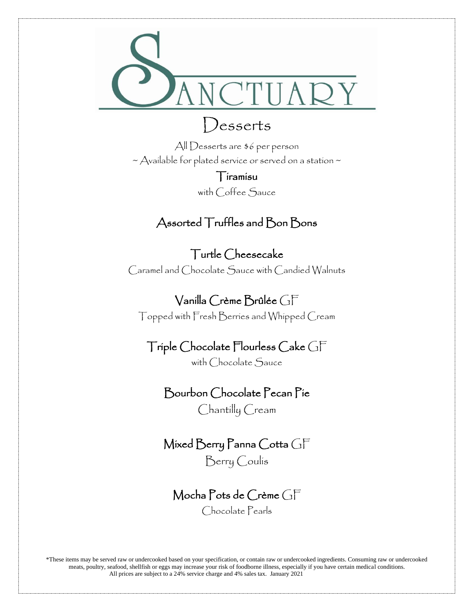

# Desserts

All Desserts are \$6 per person  $\sim$  Available for plated service or served on a station  $\sim$ 

Tiramisu

with Coffee Sauce

# Assorted Truffles and Bon Bons

# Turtle Cheesecake

Caramel and Chocolate Sauce with Candied Walnuts

Vanilla Crème Brûlée GF

Topped with Fresh Berries and Whipped Cream

# Triple Chocolate Flourless Cake GF

with Chocolate Sauce

## Bourbon Chocolate Pecan Pie

Chantilly Cream

# Mixed Berry Panna Cotta GF

Berry Coulis

# Mocha Pots de Crème GF

Chocolate Pearls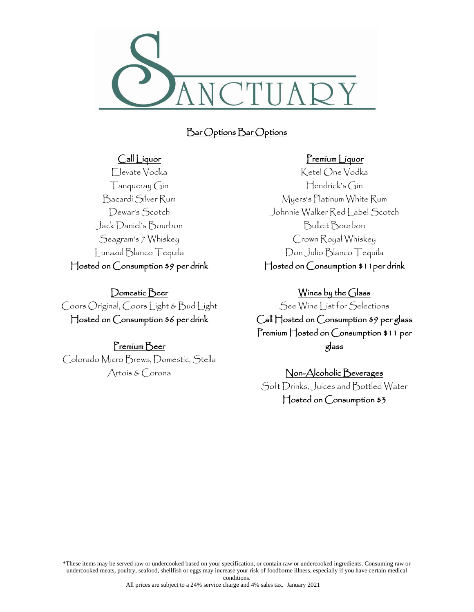

## Bar Options Bar Options

#### Call Liquor

Elevate Vodka Tanqueray Gin Bacardi Silver Rum Dewar's Scotch Jack Daniel's Bourbon Seagram's 7 Whiskey Lunazul Blanco Tequila Hosted on Consumption \$9 per drink

Domestic Beer Coors Original, Coors Light & Bud Light Hosted on Consumption \$6 per drink

#### Premium Beer

Colorado Micro Brews, Domestic, Stella Artois & Corona

#### Premium Liquor

Ketel One Vodka Hendrick's Gin Myers's Platinum White Rum Johnnie Walker Red Label Scotch Bulleit Bourbon Crown Royal Whiskey Don Julio Blanco Tequila Hosted on Consumption \$11per drink

Wines by the Glass See Wine List for Selections Call Hosted on Consumption \$9 per glass

Premium Hosted on Consumption \$11 per glass

Non-Alcoholic Beverages Soft Drinks, Juices and Bottled Water Hosted on Consumption \$3

\*These items may be served raw or undercooked based on your specification, or contain raw or undercooked ingredients. Consuming raw or undercooked meats, poultry, seafood, shellfish or eggs may increase your risk of foodborne illness, especially if you have certain medical conditions.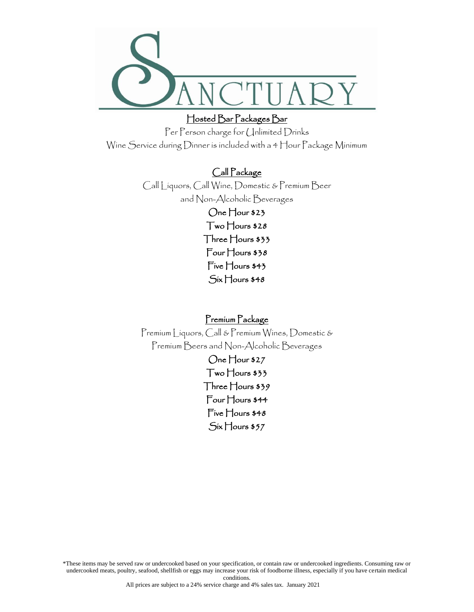

### Hosted Bar Packages Bar

Per Person charge for Unlimited Drinks Wine Service during Dinner is included with a 4 Hour Package Minimum

### Call Package

Call Liquors, Call Wine, Domestic & Premium Beer and Non-Alcoholic Beverages One Hour \$23 Two Hours \$28 Three Hours \$33 Four Hours \$38 Five Hours \$43 Six Hours \$48

Premium Package

Premium Liquors, Call & Premium Wines, Domestic & Premium Beers and Non-Alcoholic Beverages

> One Hour \$27 Two Hours \$33 Three Hours \$39 Four Hours \$44 Five Hours \$48 Six Hours \$57

\*These items may be served raw or undercooked based on your specification, or contain raw or undercooked ingredients. Consuming raw or undercooked meats, poultry, seafood, shellfish or eggs may increase your risk of foodborne illness, especially if you have certain medical conditions.